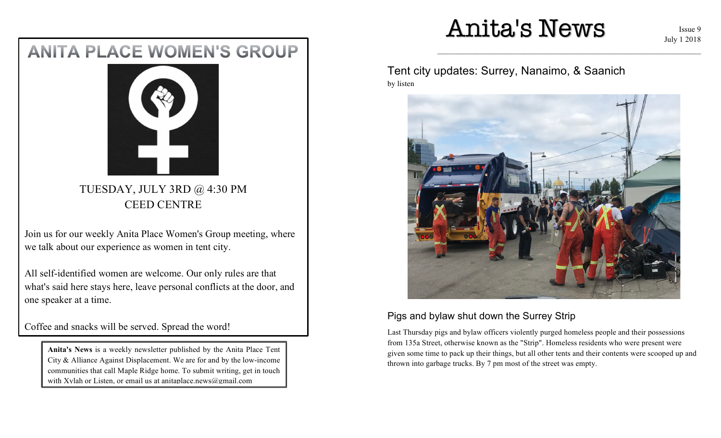# Anita's News

 $\mathcal{L}_\text{max} = \mathcal{L}_\text{max} = \mathcal{L}_\text{max} = \mathcal{L}_\text{max} = \mathcal{L}_\text{max} = \mathcal{L}_\text{max} = \mathcal{L}_\text{max} = \mathcal{L}_\text{max} = \mathcal{L}_\text{max} = \mathcal{L}_\text{max} = \mathcal{L}_\text{max} = \mathcal{L}_\text{max} = \mathcal{L}_\text{max} = \mathcal{L}_\text{max} = \mathcal{L}_\text{max} = \mathcal{L}_\text{max} = \mathcal{L}_\text{max} = \mathcal{L}_\text{max} = \mathcal{$ 

Issue 9 July 1 2018

# **ANITA PLACE WOMEN'S GROUP**



TUESDAY, JULY 3RD @ 4:30 PM CEED CENTRE

Join us for our weekly Anita Place Women's Group meeting, where we talk about our experience as women in tent city.

All self-identified women are welcome. Our only rules are that what's said here stays here, leave personal conflicts at the door, and one speaker at a time.

Coffee and snacks will be served. Spread the word!

**Anita's News** is a weekly newsletter published by the Anita Place Tent City & Alliance Against Displacement. We are for and by the low-income communities that call Maple Ridge home. To submit writing, get in touch with Xylah or Listen, or email us at anitaplace.news@gmail.com

Tent city updates: Surrey, Nanaimo, & Saanich by listen



### Pigs and bylaw shut down the Surrey Strip

Last Thursday pigs and bylaw officers violently purged homeless people and their possessions from 135a Street, otherwise known as the "Strip". Homeless residents who were present were given some time to pack up their things, but all other tents and their contents were scooped up and thrown into garbage trucks. By 7 pm most of the street was empty.